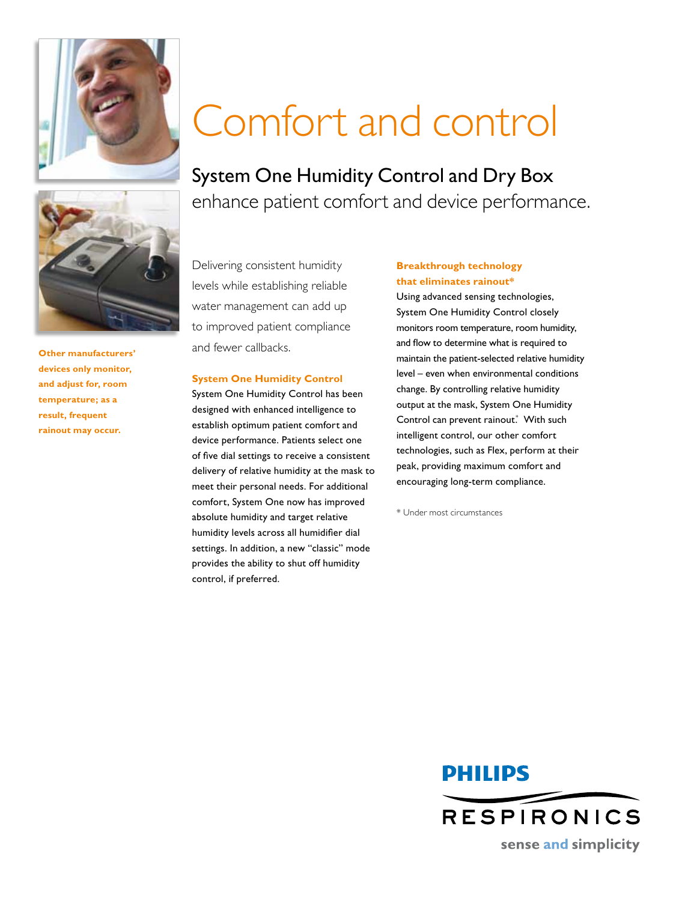



**Other manufacturers' devices only monitor, and adjust for, room temperature; as a result, frequent rainout may occur.** 

# Comfort and control

System One Humidity Control and Dry Box enhance patient comfort and device performance.

Delivering consistent humidity levels while establishing reliable water management can add up to improved patient compliance and fewer callbacks.

#### **System One Humidity Control**

System One Humidity Control has been designed with enhanced intelligence to establish optimum patient comfort and device performance. Patients select one of five dial settings to receive a consistent delivery of relative humidity at the mask to meet their personal needs. For additional comfort, System One now has improved absolute humidity and target relative humidity levels across all humidifier dial settings. In addition, a new "classic" mode provides the ability to shut off humidity control, if preferred.

### **Breakthrough technology that eliminates rainout\***

Using advanced sensing technologies, System One Humidity Control closely monitors room temperature, room humidity, and flow to determine what is required to maintain the patient-selected relative humidity level – even when environmental conditions change. By controlling relative humidity output at the mask, System One Humidity Control can prevent rainout. With such intelligent control, our other comfort technologies, such as Flex, perform at their peak, providing maximum comfort and encouraging long-term compliance.

\* Under most circumstances